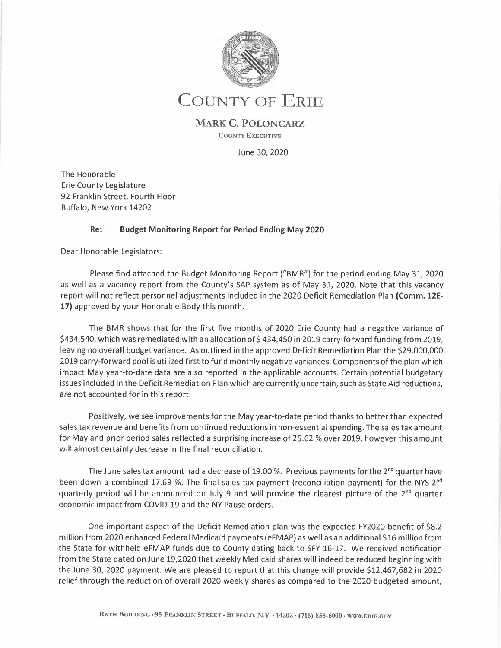

# **COUNTY OF ERIE**

### **MARK C. POLONCARZ**

**COUNTY** EXECUTIVE

June 30, 2020

The Honorable Erie County Legislature 92 Franklin Street, Fourth Floor Buffalo, New York 14202

### **Re: Budget Monitoring Report for Period Ending May 2020**

Dear Honorable Legislators:

Please find attached the Budget Monitoring Report ("BMR") for the period ending May 31, 2020 as well as a vacancy report from the County's SAP system as of May 31, 2020. Note that this vacancy report will not reflect personnel adjustments included in the 2020 Deficit Remediation Plan **(Comm. 12E-17)** approved by your Honorable Body this month.

The BMR shows that for the first five months of 2020 Erie County had a negative variance of \$434,540, which was remediated with an allocation of \$434,450 in 2019 carry-forward funding from 2019, leaving no overall budget variance. As outlined in the approved Deficit Remediation Plan the \$29,000,000 2019 carry-forward pool is utilized first to fund monthly negative variances. Components of the plan which impact May year-to-date data are also reported in the applicable accounts. Certain potential budgetary issues included in the Deficit Remediation Plan which are currently uncertain, such as State Aid reductions, are not accounted for in this report.

Positively, we see improvements for the May year-to-date period thanks to better than expected sales tax revenue and benefits from continued reductions in non-essential spending. The sales tax amount for May and prior period sales reflected a surprising increase of 25.62 % over 2019, however this amount will almost certainly decrease in the final reconciliation.

The June sales tax amount had a decrease of 19.00 %. Previous payments for the  $2^{nd}$  quarter have been down a combined 17.69 %. The final sales tax payment (reconciliation payment) for the NYS 2<sup>nd</sup> quarterly period will be announced on July 9 and will provide the clearest picture of the  $2<sup>nd</sup>$  quarter economic impact from COVID-19 and the NY Pause orders.

One important aspect of the Deficit Remediation plan was the expected FY2020 benefit of \$8.2 million from 2020 enhanced Federal Medicaid payments (eFMAP) as well as an additional \$16 million from the State for withheld eFMAP funds due to County dating back to SFY 16-17. We received notification from the State dated on June 19,2020 that weekly Medicaid shares will indeed be reduced beginning with the June 30, 2020 payment. We are pleased to report that this change will provide \$12,467,682 in 2020 relief through the reduction of overall 2020 weekly shares as compared to the 2020 budgeted amount,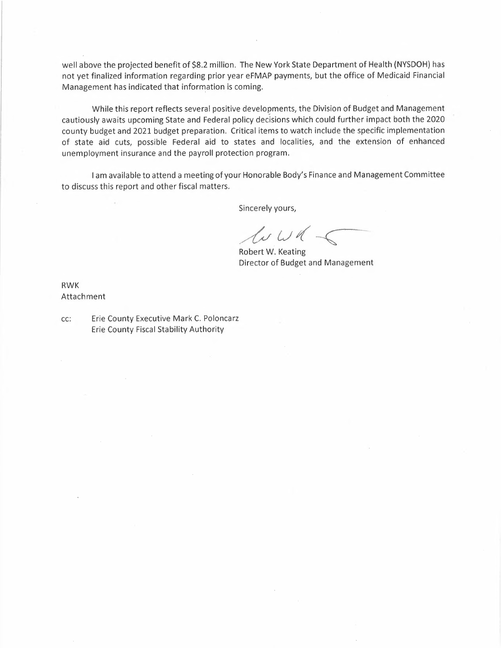well above the projected benefit of \$8.2 million. The New York State Department of Health (NYSDOH) has not yet finalized information regarding prior year eFMAP payments, but the office of Medicaid Financial Management has indicated that information is coming.

While this report reflects several positive developments, the Division of Budget and Management cautiously awaits upcoming State and Federal policy decisions which could further impact both the 2020 county budget and 2021 budget preparation. Critical items to watch include the specific implementation of state aid cuts, possible Federal aid to states and localities, and the extension of enhanced unemployment insurance and the payroll protection program.

I am available to attend a meeting of your Honorable Body's Finance and Management Committee<br> *Sincerely yours,*<br> *Sincerely yours,*<br> *Robert W. Keating* to discuss this report and other fiscal matters.

Sincerely yours,

Sincerely<br>Ly<br>Robert W. ours,<br> *(J)*<br> *Keating* 

R obert W. Keat ing Director of Budget and Management

RWK Attachment

cc: Erie County Executive Mark C. Poloncarz Erie County Fiscal Stability Authority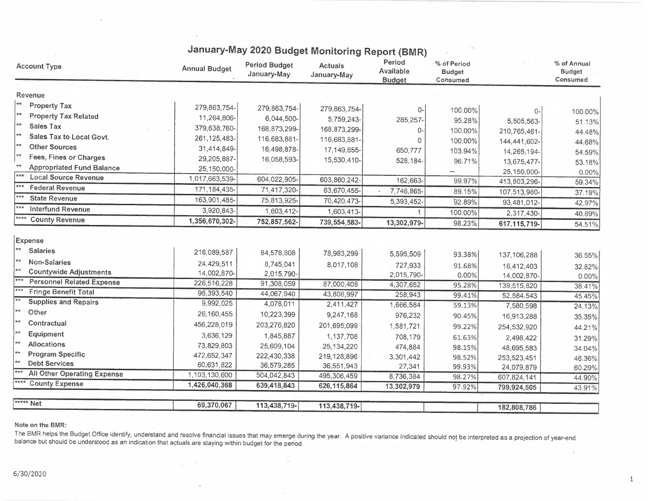| <b>Account Type</b>                                                                                              | <b>Annual Budget</b>      | <b>Period Budget</b><br>January-May | <b>Actuals</b><br>January-May | Period<br>Available<br><b>Budget</b> | % of Period<br><b>Budget</b><br>Consumed |                              | % of Annual<br><b>Budget</b><br>Consumed |
|------------------------------------------------------------------------------------------------------------------|---------------------------|-------------------------------------|-------------------------------|--------------------------------------|------------------------------------------|------------------------------|------------------------------------------|
| Revenue                                                                                                          |                           |                                     |                               |                                      |                                          |                              |                                          |
| ∣∗∗<br><b>Property Tax</b>                                                                                       | 279,863,754-              | 279,863,754-                        | 279,863,754-                  |                                      | 100.00%                                  | 0-                           |                                          |
| $**$<br><b>Property Tax Related</b>                                                                              | 11,264,806-               | 6,044,500-                          | 5,759,243-                    | 285,257-                             | 95.28%                                   |                              | 100.00%                                  |
| **<br><b>Sales Tax</b>                                                                                           | 379,638,760-              | 168,873,299-                        | 168,873,299-                  |                                      | 100.00%                                  | 5,505,563-                   | 51.13%                                   |
| ★★<br><b>Sales Tax to Local Govt.</b>                                                                            | 261, 125, 483-            | 116,683,881-                        | 116,683,881-                  |                                      | 100.00%                                  | 210,765,461-<br>144,441,602- | 44.48%                                   |
| ★★<br><b>Other Sources</b>                                                                                       | 31,414,849-               | 16,498,878-                         | 17,149,655-                   | 650,777                              | 103.94%                                  | 14,265,194-                  | 44.68%                                   |
| ¦ <del>*</del> *<br>Fees, Fines or Charges                                                                       | 29,205,887-               | 16,058,593-                         | 15,530,410-                   | 528,184-                             | 96.71%                                   | 13,675,477-                  | 54.59%                                   |
| $+$<br><b>Appropriated Fund Balance</b>                                                                          | 25,150,000-               |                                     |                               |                                      |                                          | 25,150,000-                  | 53.18%                                   |
| $***$<br><b>Local Source Revenue</b>                                                                             | 1,017,663,539-            | 604,022,905-                        | 603,860,242-                  | 162,663-                             | 99.97%                                   | 413,803,296-                 | 0.00%<br>59.34%                          |
| $***$<br><b>Federal Revenue</b>                                                                                  | 171, 184, 435-            | 71,417,320-                         | 63,670,455-                   | 7,746,865-                           | 89.15%                                   | 107,513,980-                 | 37.19%                                   |
| $***$<br><b>State Revenue</b>                                                                                    | 163,901,485-              | 75,813,925-                         | 70,420,473-                   | 5,393,452-                           | 92.89%                                   | 93,481,012-                  | 42.97%                                   |
| ***<br><b>Interfund Revenue</b>                                                                                  | 3,920,843-                | 1,603,412-                          | 1,603,413-                    |                                      | 100.00%                                  | 2,317,430-                   | 40.89%                                   |
| ****<br><b>County Revenue</b>                                                                                    | 1,356,670,302-            | 752,857,562-                        | 739, 554, 583-                | 13,302,979-                          | 98.23%                                   | 617, 115, 719-               | 54.51%                                   |
| Expense<br>$\star\star$<br><b>Salaries</b><br> **<br><b>Non-Salaries</b><br> **<br><b>Countywide Adjustments</b> | 216,089,587<br>24,429,511 | 84,578,808<br>8,745,041             | 78,983,299<br>8,017,108       | 5,595,509<br>727,933                 | 93.38%<br>91.68%                         | 137,106,288<br>16,412,403    | 36.55%<br>32.82%                         |
| $***$<br><b>Personnel Related Expense</b>                                                                        | 14,002,870-               | 2,015,790-                          |                               | 2,015,790-                           | 0.00%                                    | 14,002,870-                  | 0.00%                                    |
| <b>Fringe Benefit Total</b>                                                                                      | 226,516,228               | 91,308,059                          | 87,000,408                    | 4,307,652                            | 95.28%                                   | 139,515,820                  | 38.41%                                   |
| <b>Supplies and Repairs</b>                                                                                      | 96,393,540                | 44,067,940                          | 43,808,997                    | 258,943                              | 99.41%                                   | 52,584,543                   | 45.45%                                   |
| $**$<br>Other                                                                                                    | 9,992,025                 | 4,078,011                           | 2,411,427                     | 1,666,584                            | 59.13%                                   | 7,580,598                    | 24.13%                                   |
| Contractual                                                                                                      | 26,160,455                | 10,223,399                          | 9,247,168                     | 976,232                              | 90.45%                                   | 16,913,288                   | 35.35%                                   |
|                                                                                                                  | 456,228,019               | 203,276,820                         | 201,695,099                   | 1,581,721                            | 99.22%                                   | 254,532,920                  | 44.21%                                   |
| Equipment<br>$**$                                                                                                | 3,636,129                 | 1,845,887                           | 1,137,708                     | 708,179                              | 61.63%                                   | 2,498,422                    | 31.29%                                   |
| <b>Allocations</b>                                                                                               | 73,829,803                | 25,609,104                          | 25,134,220                    | 474,884                              | 98.15%                                   | 48,695,583                   | 34.04%                                   |
| <b>Program Specific</b><br><b>Debt Services</b>                                                                  | 472,652,347               | 222,430,338                         | 219,128,896                   | 3,301,442                            | 98.52%                                   | 253,523,451                  | 46.36%                                   |
| <b>All Other Operating Expense</b>                                                                               | 60,631,822                | 36,579,285                          | 36,551,943                    | 27,341                               | 99.93%                                   | 24,079,879                   | 60.29%                                   |
| <b>County Expense</b>                                                                                            | 1,103,130,600             | 504,042,843                         | 495,306,459                   | 8,736,384                            | 98.27%                                   | 607,824,141                  | 44.90%                                   |
|                                                                                                                  | 1,426,040,368             | 639,418,843                         | 626, 115, 864                 | 13,302,979                           | 97.92%                                   | 799,924,505                  | 43.91%                                   |
| <b>***** Net</b>                                                                                                 | 69,370,067                | 113,438,719-                        | 113,438,719-                  |                                      |                                          | 182,808,786                  |                                          |

## January-May 2020 Budget Monitoring Report (BMR)

#### Note on the BMR:

The BMR helps the Budget Office identify, understand and resclve financial issues that may emerge during the year. A positive variance indicated should not be interpreted as a projection of year-end<br>balance but should be u

 $\Delta \phi = 0.1$  ,  $\Delta \phi = 0.2$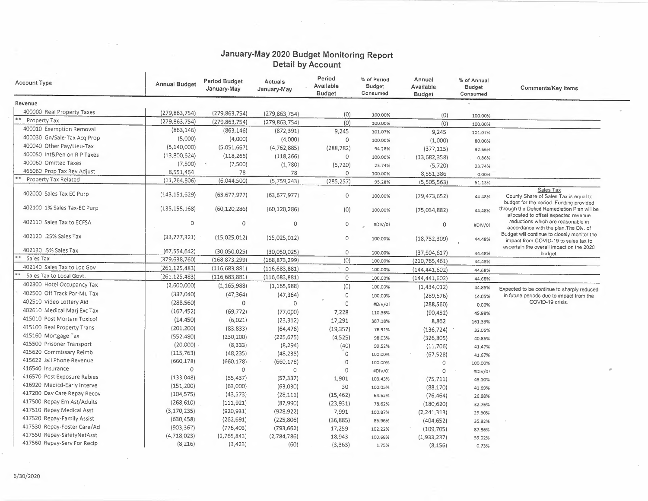### **January-May 2020 Budget Monitoring Report Detail by Account**

| <b>Account Type</b>         | <b>Annual Budget</b> | <b>Period Budget</b><br>January-May | Actuals<br>January-May | Period<br>Available<br><b>Budget</b> | % of Period<br>Budget<br>Consumed | Annual<br>Available<br><b>Budget</b> | % of Annual<br><b>Budget</b><br>Consumed | Comments/Key Items                                                                                                              |
|-----------------------------|----------------------|-------------------------------------|------------------------|--------------------------------------|-----------------------------------|--------------------------------------|------------------------------------------|---------------------------------------------------------------------------------------------------------------------------------|
| Revenue                     |                      |                                     |                        |                                      |                                   |                                      |                                          |                                                                                                                                 |
| 400000 Real Property Taxes  | (279, 863, 754)      | (279, 863, 754)                     | (279, 863, 754)        | (0)                                  | 100.00%                           |                                      |                                          |                                                                                                                                 |
| Property Tax                | (279, 863, 754)      | (279, 863, 754)                     | (279, 863, 754)        | (0)                                  | 100.00%                           | (0)<br>(0)                           | 100.00%                                  |                                                                                                                                 |
| 400010 Exemption Removal    | (863, 146)           | (863, 146)                          | (872, 391)             | 9,245                                | 101.07%                           |                                      | 100.00%                                  |                                                                                                                                 |
| 400030 Gn/Sale-Tax Acq Prop | (5,000)              | (4,000)                             | (4,000)                | $\circ$                              | 100.00%                           | 9,245                                | 101.07%                                  |                                                                                                                                 |
| 400040 Other Pay/Lieu-Tax   | (5, 140, 000)        | (5,051,667)                         | (4, 762, 885)          | (288, 782)                           |                                   | (1,000)                              | 80.00%                                   |                                                                                                                                 |
| 400050 Int&Pen on R P Taxes | (13,800,624)         | (118, 266)                          | (118, 266)             | $\circ$                              | 94.28%<br>100.00%                 | (377, 115)                           | 92.66%                                   |                                                                                                                                 |
| 400060 Omitted Taxes        | (7,500)              | (7,500)                             | (1,780)                | (5, 720)                             | 23.74%                            | (13,682,358)                         | 0.86%                                    |                                                                                                                                 |
| 466060 Prop Tax Rev Adjust  | 8,551,464            | 78                                  | 78                     | $\circ$                              |                                   | (5, 720)                             | 23.74%                                   |                                                                                                                                 |
| Property Tax Related        | (11, 264, 806)       | (6,044,500)                         | (5,759,243)            | (285, 257)                           | 100.00%<br>95.28%                 | 8,551,386                            | 0.00%                                    |                                                                                                                                 |
|                             |                      |                                     |                        |                                      |                                   | (5,505,563)                          | 51.13%                                   | Sales Tax                                                                                                                       |
| 402000 Sales Tax EC Purp    | (143, 151, 629)      | (63, 677, 977)                      | (63, 677, 977)         | $\circ$                              | 100.00%                           | (79, 473, 652)                       | 44.48%                                   | County Share of Sales Tax is equal to<br>budget for the period. Funding provided                                                |
| 402100 1% Sales Tax-EC Purp | (135, 155, 168)      | (60, 120, 286)                      | (60, 120, 286)         | (0)                                  | 100.00%                           | (75,034,882)                         | 44.48%                                   | through the Deficit Remediation Plan will be<br>allocated to offset expected revenue                                            |
| 402110 Sales Tax to ECFSA   | 0                    | $\circ$                             | 0                      | 0                                    | #DIV/01                           | $\circ$                              | #DIV/0!                                  | reductions which are reasonable in<br>accordance with the plan. The Div. of                                                     |
| 402120 .25% Sales Tax       | (33,777,321)         | (15,025,012)                        | (15,025,012)           | $\circ$                              | 100.00%                           | (18, 752, 309)                       | 44.48%                                   | Budget will continue to closely monitor the<br>impact from COVID-19 to sales tax to<br>ascertain the overall impact on the 2020 |
| 402130 .5% Sales Tax        | (67, 554, 642)       | (30,050,025)                        | (30,050,025)           | $\circ$                              | 100.00%                           | (37,504,617)                         | 44.48%                                   | budget.                                                                                                                         |
| k 4<br>Sales Tax            | (379, 638, 760)      | (168, 873, 299)                     | (168, 873, 299)        | (0)                                  | 100.00%                           | (210, 765, 461)                      | 44.48%                                   |                                                                                                                                 |
| 402140 Sales Tax to Loc Gov | (261, 125, 483)      | (116, 683, 881)                     | (116, 683, 881)        | $\circ$                              | 100.00%                           | (144, 441, 602)                      | 44.68%                                   |                                                                                                                                 |
| Sales Tax to Local Govt.    | (261, 125, 483)      | (116, 683, 881)                     | (116, 683, 881)        | $\circ$                              | 100.00%                           | (144, 441, 602)                      | 44.68%                                   |                                                                                                                                 |
| 402300 Hotel Occupancy Tax  | (2,600,000)          | (1, 165, 988)                       | (1, 165, 988)          | (0)                                  | 100.00%                           | (1,434,012)                          | 44.85%                                   | Expected to be continue to sharply reduced                                                                                      |
| 402500 Off Track Par-Mu Tax | (337,040)            | (47, 364)                           | (47, 364)              | $\circ$                              | 100.00%                           | (289, 676)                           | 14.05%                                   | in future periods due to impact from the                                                                                        |
| 402510 Video Lottery Aid    | (288, 560)           | $\circ$                             | $\mathbf{O}$           | $\circ$                              | #DIV/01                           | (288, 560)                           | 0.00%                                    | COVID-19 crisis.                                                                                                                |
| 402610 Medical Mari Exc Tax | (167, 452)           | (69, 772)                           | (77,000)               | 7,228                                | 110.36%                           | (90, 452)                            | 45.98%                                   |                                                                                                                                 |
| 415010 Post Mortem Toxicol  | (14, 450)            | (6,021)                             | (23, 312)              | 17,291                               | 387.18%                           | 8,862                                | 161.33%                                  |                                                                                                                                 |
| 415100 Real Property Trans  | (201, 200)           | (83, 833)                           | (64, 476)              | (19, 357)                            | 76.91%                            | (136, 724)                           | 32.05%                                   |                                                                                                                                 |
| 415160 Mortgage Tax         | (552, 480)           | (230, 200)                          | (225, 675)             | (4,525)                              | 98.03%                            | (326, 805)                           | 40.85%                                   |                                                                                                                                 |
| 415500 Prisoner Transport   | (20,000)             | (8, 333)                            | (8, 294)               | (40)                                 | 99.52%                            | (11,706)                             | 41.47%                                   |                                                                                                                                 |
| 415620 Commissary Reimb     | (115, 763)           | (48, 235)                           | (48, 235)              | $\circ$                              | 100.00%                           | (67, 528)                            | 41.67%                                   |                                                                                                                                 |
| 415622 Jail Phone Revenue   | (660, 178)           | (660, 178)                          | (660, 178)             | $\Omega$                             | 100.00%                           | $\circ$                              | 100.00%                                  |                                                                                                                                 |
| 416540 Insurance            | $\circ$              | $\circ$                             | $\circ$<br>$\sim$      | $\mathbf 0$                          | #DIV/0!                           | $\circ$                              | #DIV/0!                                  |                                                                                                                                 |
| 416570 Post Exposure Rabies | (133,048)            | (55, 437)                           | (57, 337)              | 1,901                                | 103.43%                           | (75, 711)                            | 43.10%                                   |                                                                                                                                 |
| 416920 Medicd-Early Interve | (151, 200)           | (63,000)                            | (63,030)               | 30                                   | 100.05%                           | (88, 170)                            | 41.69%                                   |                                                                                                                                 |
| 417200 Day Care Repay Recov | (104, 575)           | (43, 573)                           | (28, 111)              | (15, 462)                            | 64.52%                            | (76, 464)                            | 26.88%                                   |                                                                                                                                 |
| 417500 Repay Em Ast/Adults  | (268, 610)           | (111, 921)                          | (87,990)               | (23, 931)                            | 78.62%                            | (180, 620)                           | 32.76%                                   |                                                                                                                                 |
| 417510 Repay Medical Asst   | (3, 170, 235)        | (920, 931)                          | (928, 922)             | 7,991                                | 100.87%                           | (2, 241, 313)                        | 29.30%                                   |                                                                                                                                 |
| 417520 Repay-Family Assist  | (630, 458)           | (262, 691)                          | (225, 806)             | (36, 885)                            | 85.96%                            | (404, 652)                           | 35.82%                                   |                                                                                                                                 |
| 417530 Repay-Foster Care/Ad | (903, 367)           | (776, 403)                          | (793, 662)             | 17,259                               | 102.22%                           | (109, 705)                           | 87.86%                                   |                                                                                                                                 |
| 417550 Repay-SafetyNetAsst  | (4,718,023)          | (2,765,843)                         | (2,784,786)            | 18,943                               | 100.68%                           | (1,933,237)                          | 59.02%                                   |                                                                                                                                 |
| 417560 Repay-Serv For Recip | (8, 216)             | (3, 423)                            | (60)                   | (3, 363)                             | 1.75%                             | (8, 156)                             | 0.73%                                    |                                                                                                                                 |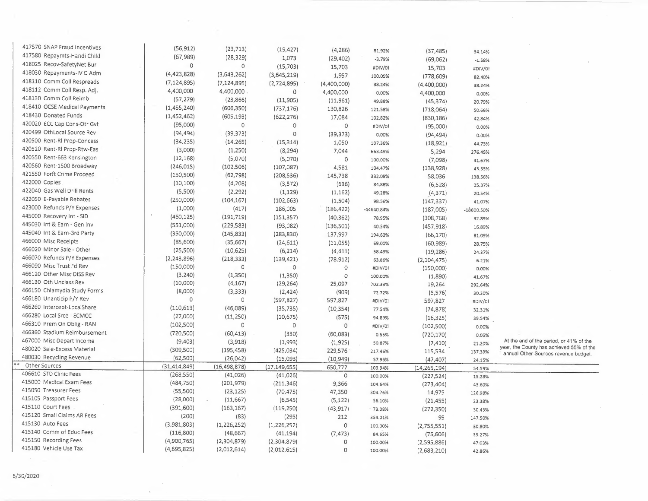| 417570 SNAP Fraud Incentives | (56, 912)      | (23, 713)      | (19, 427)      | (4, 286)    | 81.92%     | (37, 485)      | 34.14%       |                                                                                  |
|------------------------------|----------------|----------------|----------------|-------------|------------|----------------|--------------|----------------------------------------------------------------------------------|
| 417580 Repaymts-Handi Child  | (67, 989)      | (28, 329)      | 1,073          | (29, 402)   | $-3.79%$   | (69,062)       | $-1.58%$     |                                                                                  |
| 418025 Recov-SafetyNet Bur   | $\Omega$       | 0              | (15,703)       | 15,703      | #DIV/01    | 15,703         | #DIV/0!      |                                                                                  |
| 418030 Repayments-IV D Adm   | (4,423,828)    | (3,643,262)    | (3,645,219)    | 1,957       | 100.05%    | (778, 609)     | 82.40%       |                                                                                  |
| 418110 Comm Coll Respreads   | (7, 124, 895)  | (7, 124, 895)  | (2,724,895)    | (4,400,000) | 38.24%     | (4,400,000)    | 38.24%       |                                                                                  |
| 418112 Comm Coll Resp. Adj.  | 4,400,000      | 4,400,000      | 0              | 4,400,000   | 0.00%      | 4,400,000      | 0.00%        |                                                                                  |
| 418130 Comm Coll Reimb       | (57, 279)      | (23, 866)      | (11,905)       | (11,961)    | 49.88%     | (45, 374)      | 20.79%       |                                                                                  |
| 418410 OCSE Medical Payments | (1,455,240)    | (606, 350)     | (737, 176)     | 130,826     | 121.58%    | (718,064)      | 50.66%       |                                                                                  |
| 418430 Donated Funds         | (1, 452, 462)  | (605, 193)     | (622, 276)     | 17,084      | 102.82%    | (830, 186)     |              |                                                                                  |
| 420020 ECC Cap Cons-Otr Gvt  | (95,000)       | $\circ$        | $\Omega$       | $\circ$     | #DIV/0!    |                | 42.84%       |                                                                                  |
| 420499 OthLocal Source Rev   | (94, 494)      | (39, 373)      | $\mathbf 0$    | (39, 373)   | 0.00%      | (95,000)       | 0.00%        |                                                                                  |
| 420500 Rent-RI Prop-Concess  | (34, 235)      | (14, 265)      | (15, 314)      | 1,050       |            | (94, 494)      | 0.00%        |                                                                                  |
| 420520 Rent-RI Prop-Rtw-Eas  | (3,000)        | (1,250)        | (8, 294)       | 7,044       | 107.36%    | (18, 921)      | 44.73%       |                                                                                  |
| 420550 Rent-663 Kensington   | (12, 168)      | (5,070)        | (5,070)        | 0           | 663.49%    | 5,294          | 276.45%      |                                                                                  |
| 420560 Rent-1500 Broadway    | (246, 015)     | (102, 506)     | (107, 087)     |             | 100.00%    | (7,098)        | 41.67%       |                                                                                  |
| 421550 Forft Crime Proceed   | (150, 500)     | (62, 798)      |                | 4,581       | 104.47%    | (138, 928)     | 43.53%       |                                                                                  |
| 422000 Copies                |                |                | (208, 536)     | 145,738     | 332.08%    | 58,036         | 138.56%      |                                                                                  |
| 422040 Gas Well Drill Rents  | (10, 100)      | (4,208)        | (3,572)        | (636)       | 84.88%     | (6,528)        | 35.37%       |                                                                                  |
| 422050 E-Payable Rebates     | (5,500)        | (2, 292)       | (1, 129)       | (1, 162)    | 49.28%     | (4, 371)       | 20.54%       |                                                                                  |
| 423000 Refunds P/Y Expenses  | (250,000)      | (104, 167)     | (102, 663)     | (1,504)     | 98.56%     | (147, 337)     | 41.07%       |                                                                                  |
|                              | (1,000)        | (417)          | 186,005        | (186, 422)  | -44640.84% | (187,005)      | $-18600.50%$ |                                                                                  |
| 445000 Recovery Int - SID    | (460, 125)     | (191, 719)     | (151, 357)     | (40, 362)   | 78.95%     | (308, 768)     | 32.89%       |                                                                                  |
| 445030 Int & Earn - Gen Inv  | (551,000)      | (229, 583)     | (93,082)       | (136, 501)  | 40.54%     | (457, 918)     | 16.89%       |                                                                                  |
| 445040 Int & Earn-3rd Party  | (350,000)      | (145, 833)     | (283, 830)     | 137,997     | 194.63%    | (66, 170)      | 81.09%       |                                                                                  |
| 466000 Misc Receipts         | (85,600)       | (35,667)       | (24, 611)      | (11,055)    | 69.00%     | (60, 989)      | 28.75%       |                                                                                  |
| 466020 Minor Sale - Other    | (25,500)       | (10, 625)      | (6, 214)       | (4, 411)    | 58.49%     | (19, 286)      | 24.37%       |                                                                                  |
| 466070 Refunds P/Y Expenses  | (2, 243, 896)  | (218, 333)     | (139, 421)     | (78, 912)   | 63.86%     | (2, 104, 475)  | 6.21%        |                                                                                  |
| 466090 Misc Trust Fd Rev     | (150,000)      | $\circ$        | $\mathbf 0$    | $\circ$     | #DIV/0!    | (150,000)      | 0.00%        |                                                                                  |
| 466120 Other Misc DISS Rev   | (3, 240)       | (1, 350)       | (1, 350)       | 0           | 100.00%    | (1,890)        | 41.67%       |                                                                                  |
| 466130 Oth Unclass Rev       | (10,000)       | (4, 167)       | (29, 264)      | 25,097      | 702.33%    | 19,264         | 292.64%      |                                                                                  |
| 466150 Chlamydia Study Forms | (8,000)        | (3, 333)       | (2,424)        | (909)       | 72.72%     | (5,576)        | 30.30%       |                                                                                  |
| 466180 Unanticip P/Y Rev     | $\circ$        | $\circ$        | (597, 827)     | 597,827     | #DIV/0!    | 597,827        | #DIV/01      |                                                                                  |
| 466260 Intercept-LocalShare  | (110, 613)     | (46,089)       | (35, 735)      | (10, 354)   | 77.54%     | (74, 878)      | 32.31%       |                                                                                  |
| 466280 Local Srce - ECMCC    | (27,000)       | (11, 250)      | (10, 675)      | (575)       | 94.89%     | (16, 325)      | 39.54%       |                                                                                  |
| 466310 Prem On Oblig - RAN   | (102,500)      | $\circ$        | 0              | $\circ$     | #DIV/0!    | (102, 500)     | 0.00%        |                                                                                  |
| 466360 Stadium Reimbursement | (720, 500)     | (60, 413)      | (330)          | (60,083)    | 0.55%      | (720, 170)     | 0.05%        |                                                                                  |
| 467000 Misc Depart Income    | (9,403)        | (3,918)        | (1,993)        | (1,925)     | 50.87%     | (7, 410)       | 21.20%       | At the end of the period, or 41% of the                                          |
| 480020 Sale-Excess Material  | (309,500)      | (195, 458)     | (425, 034)     | 229,576     | 217.46%    | 115,534        | 137.33%      | year, the County has achieved 55% of the<br>annual Other Sources revenue budget. |
| 480030 Recycling Revenue     | (62,500)       | (26, 042)      | (15,093)       | (10, 949)   | 57.96%     | (47, 407)      | 24.15%       |                                                                                  |
| Other Sources                | (31, 414, 849) | (16, 498, 878) | (17, 149, 655) | 650,777     | 103.94%    | (14, 265, 194) | 54.59%       |                                                                                  |
| 406610 STD Clinic Fees       | (268, 550)     | (41, 026)      | (41, 026)      | $\circ$     | 100.00%    | (227, 524)     | 15.28%       |                                                                                  |
| 415000 Medical Exam Fees     | (484, 750)     | (201, 979)     | (211, 346)     | 9,366       | 104.64%    | (273, 404)     | 43.60%       |                                                                                  |
| 415050 Treasurer Fees        | (55,500)       | (23, 125)      | (70, 475)      | 47,350      | 304.76%    | 14,975         | 126.98%      |                                                                                  |
| 415105 Passport Fees         | (28,000)       | (11,667)       | (6, 545)       | (5, 122)    | 56.10%     | (21, 455)      | 23.38%       |                                                                                  |
| 415110 Court Fees            | (391,600)      | (163, 167)     | (119, 250)     | (43, 917)   | $-73.08%$  | (272, 350)     | 30.45%       |                                                                                  |
| 415120 Small Claims AR Fees  | (200)          | (83)           | (295)          | 212         | 354.01%    | 95             | 147.50%      |                                                                                  |
| 415130 Auto Fees             | (3,981,803)    | (1, 226, 252)  | (1, 226, 252)  | $\circ$     | 100.00%    | (2,755,551)    | 30.80%       |                                                                                  |
| 415140 Comm of Educ Fees     | (116, 800)     | (48, 667)      | (41, 194)      | (7, 473)    | 84.65%     | (75,606)       | 35.27%       |                                                                                  |
| 415150 Recording Fees        | (4,900,765)    | (2,304,879)    | (2,304,879)    | $\circ$     | 100.00%    | (2,595,886)    | 47.03%       |                                                                                  |
| 415180 Vehicle Use Tax       | (4,695,825)    | (2,012,614)    | (2,012,615)    | $\circ$     | 100.00%    | (2,683,210)    | 42.86%       |                                                                                  |
|                              |                |                |                |             |            |                |              |                                                                                  |

 $\sim 10$  $\mathcal{C}$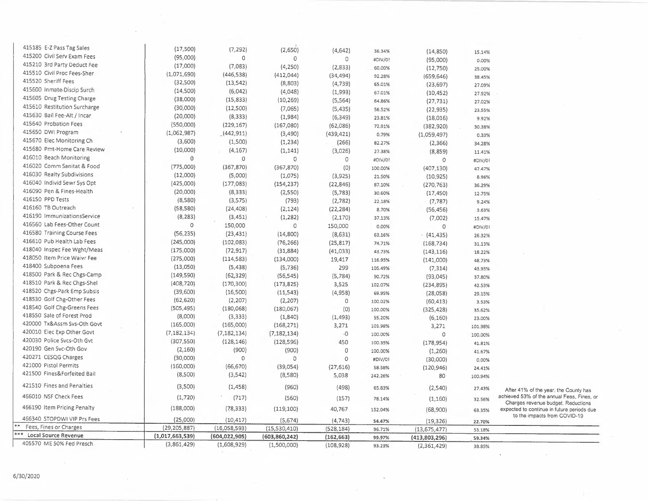| 405570 ME 50% Fed Presch     | (3,861,429)     | (1,608,929)     | (1,500,000)        | (108, 928)           | 93.23%           | (2,361,429)             | 38.85%          |                                                                                  |
|------------------------------|-----------------|-----------------|--------------------|----------------------|------------------|-------------------------|-----------------|----------------------------------------------------------------------------------|
| Local Source Revenue         | (1,017,663,539) | (604, 022, 905) | (603, 860, 242)    | (162, 663)           | 99.97%           | (413,803,296)           | 59.34%          |                                                                                  |
| Fees, Fines or Charges       | (29, 205, 887)  | (16,058,593)    | (15,530,410)       | (528, 184)           | 96.71%           | (13, 675, 477)          | 53.18%          |                                                                                  |
| 466340 STOPDWI VIP Prs Fees  | (25,000)        | (10, 417)       | (5,674)            | (4, 743)             | 54.47%           | (19, 326)               | 22.70%          | to the impacts from COVID-19                                                     |
| 466190 Item Pricing Penalty  | (188,000)       | (78, 333)       | (119, 100)         | 40,767               | 152.04%          | (68,900)                | 63.35%          | Charges revenue budget. Reductions<br>expected to continue in future periods due |
| 466010 NSF Check Fees        | (1,720)         | (717)           | (560)              | (157)                | 78.14%           | (1,160)                 | 32.56%          | achieved 53% of the annual Fees, Fines, or                                       |
| 421510 Fines and Penalties   | (3,500)         | (1,458)         | (960)              | (498)                | 65.83%           | (2,540)                 | 27.43%          | After 41% of the year, the County has                                            |
| 421500 Fines&Forfeited Bail  | (8,500)         | (3,542)         | (8,580)            | 5,038                | 242.26%          | 80                      | 100.94%         |                                                                                  |
| 421000 Pistol Permits        | (160,000)       | (66, 670)       | (39,054)           | (27,616)             | 58.58%           | (120, 946)              | 24.41%          |                                                                                  |
| 420271 CESQG Charges         | (30,000)        | 0               | $\Omega$           | $\Omega$             | #DIV/0!          | (30,000)                | 0.00%           |                                                                                  |
| 420190 Gen Svc-Oth Gov       | (2,160)         | (900)           | (900)              | $\circ$              | 100.00%          | (1,260)                 | 41.67%          |                                                                                  |
| 420030 Police Svcs-Oth Gvt   | (307, 550)      | (128, 146)      | (128, 596)         | 450                  | 100.35%          | (178, 954)              | 41.81%          |                                                                                  |
| 420010 Elec Exp Other Govt   | (7, 182, 134)   | (7, 182, 134)   | (7, 182, 134)      | $-0$                 | 100.00%          | $\circ$                 | 100.00%         |                                                                                  |
| 420000 Tx&Assm Svs-Oth Govt  | (165,000)       | (165,000)       | (168, 271)         | 3,271                | 101.98%          | 3,271                   | 101.98%         |                                                                                  |
| 418550 Sale of Forest Prod   | (8,000)         | (3,333)         | (1,840)            | (1, 493)             | 55.20%           | (6, 160)                | 23.00%          |                                                                                  |
| 418540 Golf Chg-Greens Fees  | (505, 495)      | (180,068)       | (180,067)          | (0)                  | 100.00%          | (325, 428)              | 35.62%          |                                                                                  |
| 418530 Golf Chg-Other Fees   | (62, 620)       | (2, 207)        | (2, 207)           | 0                    | 100.02%          | (60, 413)               | 3.53%           |                                                                                  |
| 418520 Chgs-Park Emp Subsis  | (39,600)        | (16,500)        | (11, 543)          | (4,958)              | 69.95%           | (28,058)                | 29.15%          |                                                                                  |
| 418510 Park & Rec Chgs-Shel  | (408, 720)      | (170, 300)      | (173, 825)         | 3,525                | 102.07%          | (234, 895)              | 42.53%          |                                                                                  |
| 418500 Park & Rec Chgs-Camp  | (149, 590)      | (62, 329)       | (56, 545)          | (5, 784)             | 90.72%           | (93,045)                | 37.80%          |                                                                                  |
| 418400 Subpoena Fees         | (13,050)        | (5,438)         | (5,736)            | 299                  | 105.49%          | (7, 314)                | 43.95%          |                                                                                  |
| 418050 Item Price Waivr Fee  | (275,000)       | (114, 583)      | (134,000)          | 19,417               | 116.95%          | (141,000)               | 48.73%          |                                                                                  |
| 418040 Inspec Fee Wght/Meas  | (175,000)       | (72, 917)       | (31, 884)          | (41,033)             | 43.73%           | (143, 116)              | 18.22%          |                                                                                  |
| 416610 Pub Health Lab Fees   | (245,000)       | (102,083)       | (76, 266)          | (25, 817)            | 74.71%           | (168, 734)              | 31.13%          |                                                                                  |
| 416580 Training Course Fees  | (56, 235)       | (23, 431)       | (14,800)           | (8,631)              | 63.16%           | (41, 435)               | 26.32%          |                                                                                  |
| 416560 Lab Fees-Other Count  | $\circ$         | 150,000         | $\circ$            | 150,000              | 0.00%            | 0                       | #DIV/01         |                                                                                  |
| 416190 ImmunizationsService  | (8, 283)        | (3,451)         | (1, 282)           | (2, 170)             | 37.13%           | (7,002)                 | 15.47%          |                                                                                  |
| 416160 TB Outreach           | (58, 580)       | (24, 408)       | (2, 124)           | (22, 284)            | 8.70%            | (56, 456)               | 3.63%           |                                                                                  |
| 416150 PPD Tests             | (8,580)         | (3,575)         | (793)              | (2,782)              | 22.18%           | (7, 787)                | 9.24%           |                                                                                  |
| 416090 Pen & Fines-Health    | (20,000)        | (8, 333)        | (2,550)            | (5,783)              | 30.60%           | (17, 450)               | 12.75%          |                                                                                  |
| 416040 Individ Sewr Sys Opt  | (425,000)       | (177,083)       | (154, 237)         | (22, 846)            | 87.10%           | (270, 763)              | 36.29%          |                                                                                  |
| 416030 Realty Subdivisions   | (12,000)        | (5,000)         | (1,075)            | (3,925)              | 21.50%           | (407, 130)<br>(10, 925) | 47.47%<br>8.96% |                                                                                  |
| 416020 Comm Sanitat & Food   | (775,000)       | (367, 870)      | (367, 870)         | (0)                  | 100.00%          |                         | #DIV/0!         |                                                                                  |
| 416010 Beach Monitoring      | $\theta$        | $\mathbf 0$     | $\circ$            | $\circ$              | #DIV/0!          | (8,859)<br>0            | 11.41%          |                                                                                  |
| 415680 Pmt-Home Care Review  | (10,000)        | (4, 167)        | (1, 141)           | (3,026)              | 27.38%           | (2,366)                 | 34.28%          |                                                                                  |
| 415670 Elec Monitoring Ch    | (3,600)         | (1,500)         | (1, 234)           | (266)                | 82.27%           | (1,059,497)             | 0.33%           |                                                                                  |
| 415650 DWI Program           | (1,062,987)     | (442, 911)      | (3,490)            | (439, 421)           | 0.79%            |                         | 30.38%          |                                                                                  |
| 415640 Probation Fees        | (550,000)       | (229, 167)      | (167,080)          | (62,086)             | 72.91%           | (18,016)<br>(382,920)   | 9.92%           |                                                                                  |
| 415630 Bail Fee-Alt / Incar  | (20,000)        | (8, 333)        | (1,984)            | (6, 349)             | 23.81%           | (22, 935)               | 23.55%          |                                                                                  |
| 415610 Restitution Surcharge | (30,000)        | (12,500)        | (7,065)            | (5,435)              | 56.52%           | (27, 731)               | 27.02%          |                                                                                  |
| 415605 Drug Testing Charge   | (38,000)        | (15, 833)       | (10, 269)          | (5, 564)             | 64.86%           | (10, 452)               | 27.92%          |                                                                                  |
| 415600 Inmate Discip Surch   | (14,500)        | (6,042)         | (4,048)            | (1,993)              | 67.01%           | (23, 697)               | 27.09%          |                                                                                  |
| 415520 Sheriff Fees          | (32,500)        | (13, 542)       | (8,803)            | (4, 739)             | 92.28%<br>65.01% | (659, 646)              | 38.45%          |                                                                                  |
| 415510 Civil Proc Fees-Sher  | (1,071,690)     | (446,538)       | (412, 044)         | (2,833)<br>(34, 494) | 60.00%           | (12,750)                | 25.00%          |                                                                                  |
| 415210 3rd Party Deduct Fee  | (17,000)        | (7,083)         | (4, 250)           | 0                    | #DIV/0!          | (95,000)                | 0.00%           |                                                                                  |
| 415200 Civil Serv Exam Fees  | (95,000)        | 0               | (2,650)<br>$\circ$ | (4,642)              | 36.34%           | (14, 850)               | 15.14%          |                                                                                  |
| 415185 E-Z Pass Tag Sales    | (17,500)        | (7, 292)        |                    |                      |                  |                         |                 |                                                                                  |

 $\sim$   $\sim$ 

 $\mathcal{L}^{\mathcal{L}}$ 

 $\cdot$ 

۱.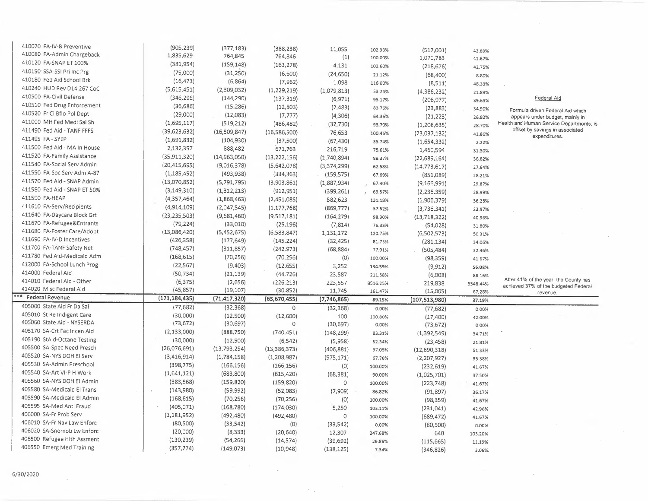| 410070 FA-IV-B Preventive    | (905, 239)      | (377, 183)     | (388, 238)     | 11,055           | 102.93%  | (517,001)       | 42.89%   |                                          |
|------------------------------|-----------------|----------------|----------------|------------------|----------|-----------------|----------|------------------------------------------|
| 410080 FA-Admin Chargeback   | 1,835,629       | 764,845        | 764,846        | (1)              | 100.00%  | 1,070,783       | 41.67%   |                                          |
| 410120 FA-SNAP ET 100%       | (381, 954)      | (159, 148)     | (163, 278)     | 4,131            | 102.60%  | (218, 676)      | 42.75%   |                                          |
| 410150 SSA-SSI Pri Inc Prg   | (75,000)        | (31, 250)      | (6,600)        | (24, 650)        | 21.12%   | (68, 400)       | 8.80%    |                                          |
| 410180 Fed Aid School Brk    | (16, 473)       | (6,864)        | (7, 962)       | 1,098            | 116.00%  | (8,511)         | 48.33%   |                                          |
| 410240 HUD Rev D14.267 CoC   | (5,615,451)     | (2,309,032)    | (1, 229, 219)  | (1,079,813)      | 53.24%   | (4,386,232)     | 21.89%   |                                          |
| 410500 FA-Civil Defense      | (346, 295)      | (144, 290)     | (137, 319)     | (6, 971)         | 95.17%   | (208, 977)      | 39.65%   | <b>Eederal Aid</b>                       |
| 410510 Fed Drug Enforcement  | (36, 686)       | (15, 286)      | (12,803)       | (2,483)          | 83.76%   | (23, 883)       | 34.90%   | Formula driven Federal Aid which         |
| 410520 Fr Ci Bflo Pol Dept   | (29,000)        | (12,083)       | (7, 777)       | (4,306)          | 64.36%   | (21, 223)       | 26.82%   | appears under budget, mainly in          |
| 411000 MH Fed Medi Sal Sh    | (1,695,117)     | (519, 212)     | (486, 482)     | (32, 730)        | 93.70%   | (1, 208, 635)   | 28.70%   | Health and Human Service Departments, is |
| 411490 Fed Aid - TANF FFFS   | (39, 623, 632)  | (16,509,847)   | (16,586,500)   | 76,653           | 100.46%  | (23,037,132)    | 41.86%   | offset by savings in associated          |
| 411495 FA - SYEP             | (1,691,832)     | (104, 930)     | (37,500)       | (67, 430)        | 35.74%   | (1,654,332)     | 2.22%    | expenditures.                            |
| 411500 Fed Aid - MA In House | 2,132,357       | 888,482        | 671,763        | 216,719          | 75.61%   | 1,460,594       | 31.50%   |                                          |
| 411520 FA-Family Assistance  | (35, 911, 320)  | (14,963,050)   | (13, 222, 156) | (1,740,894)      | 88.37%   | (22, 689, 164)  | 36.82%   |                                          |
| 411540 FA-Social Serv Admin  | (20, 415, 695)  | (9,016,378)    | (5,642,078)    | (3,374,299)      | 62.58%   | (14, 773, 617)  | 27.64%   |                                          |
| 411550 FA-Soc Serv Adm A-87  | (1, 185, 452)   | (493,938)      | (334, 363)     | (159, 575)       | 67.69%   | (851,089)       | 28.21%   |                                          |
| 411570 Fed Aid - SNAP Admin  | (13,070,852)    | (5,791,795)    | (3,903,861)    | (1,887,934)      | 67.40%   | (9, 166, 991)   | 29.87%   |                                          |
| 411580 Fed Aid - SNAP ET 50% | (3, 149, 310)   | (1,312,213)    | (912, 951)     | (399, 261)       | 69.57%   | (2, 236, 359)   | 28.99%   |                                          |
| 411590 FA-HEAP               | (4,357,464)     | (1,868,463)    | (2,451,085)    | 582,623          | 131.18%  | (1,906,379)     | 56.25%   |                                          |
| 411610 FA-Serv/Recipients    | (4,914,109)     | (2,047,545)    | (1, 177, 768)  | (869, 777)       | 57.52%   | (3,736,341)     | 23.97%   |                                          |
| 411640 FA-Daycare Block Grt  | (23, 235, 503)  | (9,681,460)    | (9,517,181)    | (164, 279)       | 98.30%   | (13, 718, 322)  | 40.96%   |                                          |
| 411670 FA-Refugee&Entrants   | (79, 224)       | (33,010)       | (25, 196)      | (7, 814)         | 76.33%   | (54, 028)       | 31.80%   |                                          |
| 411680 FA-Foster Care/Adopt  | (13,086,420)    | (5,452,675)    | (6,583,847)    | 1,131,172        | 120.75%  | (6, 502, 573)   | 50.31%   |                                          |
| 411690 FA-IV-D Incentives    | (426, 358)      | (177, 649)     | (145, 224)     | (32, 425)        | 81.75%   | (281, 134)      | 34.06%   |                                          |
| 411700 FA-TANF Safety Net    | (748, 457)      | (311, 857)     | (242, 973)     | (68, 884)        | 77.91%   | (505, 484)      | 32.46%   |                                          |
| 411780 Fed Aid-Medicaid Adm  | (168, 615)      | (70, 256)      | (70, 256)      | (0)              | 100.00%  | (98, 359)       | 41.67%   |                                          |
| 412000 FA-School Lunch Prog  | (22, 567)       | (9,403)        | (12, 655)      | 3,252            | 134.59%  | (9, 912)        | 56.08%   |                                          |
| 414000 Federal Aid           | (50, 734)       | (21, 139)      | (44, 726)      | 23,587           | 211.58%  | (6,008)         | 88.16%   |                                          |
| 414010 Federal Aid - Other   | (6, 375)        | (2,656)        | (226, 213)     | 223,557          | 8516.25% | 219,838         | 3548.44% | After 41% of the year, the County has    |
| 414020 Misc Federal Aid      | (45, 857)       | (19, 107)      | (30, 852)      | 11,745           | 161.47%  | (15,005)        | 67.28%   | achieved 37% of the budgeted Federal     |
| <b>Federal Revenue</b>       | (171, 184, 435) | (71, 417, 320) | (63, 670, 455) | (7,746,865)      | 89.15%   | (107, 513, 980) | 37.19%   | revenue.                                 |
| 405000 State Aid Fr Da Sal   | (77, 682)       | (32, 368)      | $\mathbf 0$    | (32, 368)        | 0.00%    | (77, 682)       | 0.00%    |                                          |
| 405010 St Re Indigent Care   | (30,000)        | (12,500)       | (12,600)       | 100              | 100.80%  | (17,400)        | 42.00%   |                                          |
| 405060 State Aid - NYSERDA   | (73, 672)       | (30, 697)      | $\circ$        | (30, 697)        | 0.00%    | (73, 672)       | 0.00%    |                                          |
| 405170 SA-Crt Fac Incen Aid  | (2, 133, 000)   | (888, 750)     | (740, 451)     | (148, 299)       | 83.31%   | (1, 392, 549)   | 34.71%   |                                          |
| 405190 StAid-Octane Testing  | (30,000)        | (12,500)       | (6, 542)       | (5,958)          | 52.34%   | (23, 458)       | 21.81%   |                                          |
| 405500 SA-Spec Need Presch   | (26,076,691)    | (13, 793, 254) | (13, 386, 373) | (406, 881)       | 97.05%   | (12,690,318)    | 51.33%   |                                          |
| 405520 SA-NYS DOH EI Serv    | (3,416,914)     | (1,784,158)    | (1,208,987)    | (575, 171)       | 67.76%   | (2, 207, 927)   | 35.38%   |                                          |
| 405530 SA-Admin Preschool    | (398, 775)      | (166, 156)     | (166, 156)     | (0)              | 100.00%  | (232, 619)      | 41.67%   |                                          |
| 405540 SA-Art VI-P H Work    | (1,641,121)     | (683, 800)     | (615, 420)     | (68, 381)        | 90.00%   | (1,025,701)     | 37.50%   |                                          |
| 405560 SA-NYS DOH El Admin   | (383, 568)      | (159, 820)     | (159, 820)     | $\circ$          | 100.00%  | (223, 748)      |          |                                          |
| 405580 SA-Medicaid El Trans  | (143,980)       | (59,992)       | (52,083)       | (7,909)          | 86.82%   |                 | 41.67%   |                                          |
| 405590 SA-Medicaid El Admin  | (168, 615)      | (70, 256)      | (70, 256)      | (0)              | 100.00%  | (91, 897)       | 36.17%   |                                          |
| 405595 SA-Med Anti Fraud     | (405, 071)      | (168, 780)     | (174,030)      |                  |          | (98, 359)       | 41.67%   |                                          |
| 406000 SA-Fr Prob Serv       | (1, 181, 952)   | (492, 480)     | (492, 480)     | 5,250<br>$\circ$ | 103.11%  | (231, 041)      | 42.96%   |                                          |
| 406010 SA-Fr Nav Law Enforc  | (80, 500)       | (33,542)       |                |                  | 100.00%  | (689, 472)      | 41.67%   |                                          |
| 406020 SA-Snomob Lw Enforc   | (20,000)        | (8, 333)       | (0)            | (33, 542)        | 0.00%    | (80, 500)       | 0.00%    |                                          |
| 406500 Refugee Hith Assment  | (130, 239)      | (54, 266)      | (20, 640)      | 12,307           | 247.68%  | 640             | 103.20%  |                                          |
| 406550 Emerg Med Training    | (357, 774)      | (149,073)      | (14, 574)      | (39, 692)        | 26.86%   | (115, 665)      | 11.19%   |                                          |
|                              |                 |                | (10,948)       | (138, 125)       | 7.34%    | (346, 826)      | 3.06%.   |                                          |

 $\langle\phi_{\rm{in}}\rangle_{\rm{max}}$ 

 $\sim$   $\sim$ 

 $\mathcal{L}^{\text{max}}_{\text{max}}$  and  $\mathcal{L}^{\text{max}}_{\text{max}}$ 

 $\mathcal{L}$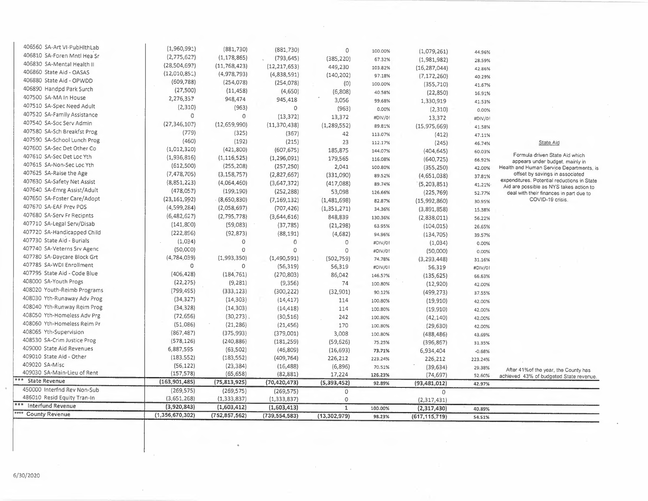| 406810 SA-Foren Mntl Hea Sr             | (1,960,991)<br>(2,775,627) | (881,730)<br>(1, 178, 865) | (881,730)<br>(793, 645)     | 0<br>(385, 220) | 100.00%<br>67.32% | (1,079,261)<br>(1,981,982) | 44.96%<br>28.59% |                                                                             |
|-----------------------------------------|----------------------------|----------------------------|-----------------------------|-----------------|-------------------|----------------------------|------------------|-----------------------------------------------------------------------------|
| 406830 SA-Mental Health II              | (28, 504, 697)             | (11, 768, 423)             | (12, 217, 653)              | 449,230         | 103.82%           | (16, 287, 044)             |                  |                                                                             |
| 406860 State Aid - OASAS                | (12,010,852)               | (4,978,793)                | (4,838,591)                 | (140, 202)      | 97.18%            | (7, 172, 260)              | 42.86%           |                                                                             |
| 406880 State Aid - OPWDD                | (609, 788)                 | (254, 078)                 | (254, 078)                  | (0)             | 100.00%           | (355, 710)                 | 40.29%           |                                                                             |
| 406890 Handpd Park Surch                | (27,500)                   | (11, 458)                  | (4,650)                     | (6,808)         | 40.58%            | (22, 850)                  | 41.67%           |                                                                             |
| 407500 SA-MA In House                   | 2,276,357                  | 948,474                    | 945,418                     | 3,056           | 99.68%            |                            | 16.91%           |                                                                             |
| 407510 SA-Spec Need Adult               | (2, 310)                   | (963)                      | $\circ$                     | (963)           | 0.00%             | 1,330,919                  | 41.53%           |                                                                             |
| 407520 SA-Family Assistance             | $\circ$                    | $\circ$                    | (13, 372)                   | 13,372          |                   | (2,310)                    | 0.00%            |                                                                             |
| 407540 SA-Soc Serv Admin                | (27, 346, 107)             | (12,659,990)               | (11, 370, 438)              | (1, 289, 552)   | #DIV/0!           | 13,372                     | #DIV/0!          |                                                                             |
| 407580 SA-Sch Breakfst Prog             | (779)                      | (325)                      | (367)                       | 42              | 89.81%            | (15, 975, 669)             | 41.58%           |                                                                             |
| 407590 SA-School Lunch Prog             | (460)                      | (192)                      | (215)                       | 23              | 113.07%           | (412)                      | 47.11%           |                                                                             |
| 407600 SA-Sec Det Other Co              | (1,012,320)                | (421,800)                  |                             |                 | 112.17%           | (245)                      | 46.74%           | State Aid                                                                   |
| 407610 SA-Sec Det Loc Yth               | (1,936,816)                | (1, 116, 525)              | (607, 675)<br>(1, 296, 091) | 185,875         | 144.07%           | (404, 645)                 | 60.03%           | Formula driven State Aid which                                              |
| 407615 SA-Non-Sec Loc Yth               | (612,500)                  | (255, 208)                 |                             | 179,565         | 116.08%           | (640, 725)                 | 66.92%           | appears under budget, mainly in                                             |
| 407625 SA-Raise the Age                 | (7, 478, 705)              | (3, 158, 757)              | (257, 250)                  | 2,041           | 100.80%           | (355, 250)                 | 42.00%           | Health and Human Service Departments, is<br>offset by savings in associated |
| 407630 SA-Safety Net Assist             |                            |                            | (2,827,667)                 | (331,090)       | 89.52%            | (4,651,038)                | 37.81%           | expenditures. Potential reductions in State                                 |
| 407640 SA-Emrg Assist/Adult             | (8,851,223)                | (4,064,460)                | (3,647,372)                 | (417,088)       | 89.74%            | (5,203,851)                | 41.21%           | Aid are possible as NYS takes action to                                     |
| 407650 SA-Foster Care/Adopt             | (478,057)                  | (199, 190)                 | (252, 288)                  | 53,098          | 126.66%           | (225, 769)                 | 52.77%           | deal with their finances in part due to                                     |
| 407670 SA-EAF Prev POS                  | (23, 161, 992)             | (8,650,830)                | (7, 169, 132)               | (1,481,698)     | 82.87%            | (15,992,860)               | 30.95%           | COVID-19 crisis.                                                            |
| 407680 SA-Serv Fr Recipnts              | (4,599,284)                | (2,058,697)                | (707, 426)                  | (1,351,271)     | 34.36%            | (3,891,858)                | 15.38%           |                                                                             |
|                                         | (6,482,627)                | (2,795,778)                | (3,644,616)                 | 848,839         | 130.36%           | (2,838,011)                | 56.22%           |                                                                             |
| 407710 SA-Legal Serv/Disab              | (141,800)                  | (59,083)                   | (37, 785)                   | (21, 298)       | 63.95%            | (104, 015)                 | 26.65%           |                                                                             |
| 407720 SA-Handicapped Child             | (222, 896)                 | (92, 873)                  | (88, 191)                   | (4,682)         | 94.96%            | (134, 705)                 | 39.57%           |                                                                             |
| 407730 State Aid - Burials              | (1,034)                    | $\circ$                    | 0                           | $\circ$         | #DIV/0!           | (1,034)                    | 0.00%            |                                                                             |
| 407740 SA-Veterns Srv Agenc             | (50,000)                   | $\circ$                    | $\circ$                     | $\circ$         | #DIV/0!           | (50,000)                   | 0.00%            |                                                                             |
| 407780 SA-Daycare Block Grt             | (4,784,039)                | (1,993,350)                | (1,490,591)                 | (502, 759)      | 74.78%            | (3, 293, 448)              | 31.16%           |                                                                             |
| 407785 SA-WDI Enrollment                | $\circ$                    | $\circ$                    | (56, 319)                   | 56,319          | #DIV/01           | 56,319                     | #DIV/01          |                                                                             |
| 407795 State Aid - Code Blue            | (406, 428)                 | (184, 761)                 | (270, 803)                  | 86,042          | 146.57%           | (135, 625)                 | 66.63%           |                                                                             |
| 408000 SA-Youth Progs                   | (22, 275)                  | (9, 281)                   | (9, 356)                    | 74              | 100.80%           | (12,920)                   | 42.00%           |                                                                             |
| 408020 Youth-Reimb Programs             | (799, 495)                 | (333, 123)                 | (300, 222)                  | (32, 901)       | 90.12%            | (499, 273)                 | 37.55%           |                                                                             |
| 408030 Yth-Runaway Adv Prog             | (34, 327)                  | (14, 303)                  | (14, 417)                   | 114             | 100.80%           | (19, 910)                  | 42.00%           |                                                                             |
| 408040 Yth-Runway Reim Prog             | (34, 328)                  | (14, 303)                  | (14, 418)                   | 114             | 100.80%           | (19,910)                   | 42.00%           |                                                                             |
| 408050 Yth-Homeless Adv Prg             | (72, 656)                  | $(30, 273)$ .              | (30,516)                    | 242             | 100.80%           | (42, 140)                  | 42.00%           |                                                                             |
| 408060 Yth-Homeless Reim Pr             | (51,086)                   | (21, 286)                  | (21, 456)                   | 170             | 100.80%           | (29, 630)                  | 42.00%           |                                                                             |
| 408065 Yth-Supervision                  | (867, 487)                 | (375, 993)                 | (379,001)                   | 3,008           | 100.80%           | (488, 486)                 | 43.69%           |                                                                             |
| 408530 SA-Crim Justice Prog             | (578, 126)                 | (240, 886)                 | (181, 259)                  | (59, 626)       | 75.25%            | (396, 867)                 | 31.35%           |                                                                             |
| 409000 State Aid Revenues               | 6,887,595                  | (63, 502)                  | (46,809)                    | (16, 693)       | 73.71%            | 6,934,404                  | $-0.68%$         |                                                                             |
| 409010 State Aid - Other                | (183, 552)                 | (183, 552)                 | (409, 764)                  | 226,212         | 223.24%           | 226,212                    | 223.24%          |                                                                             |
| 409020 SA-Misc                          | (56, 122)                  | (23, 384)                  | (16, 488)                   | (6,896)         | 70.51%            | (39, 634)                  | 29.38%           | After 41% of the year, the County has                                       |
| 409030 SA-Main-Lieu of Rent             | (157, 578)                 | (65, 658)                  | (82, 881)                   | 17,224          | 126.23%           | (74, 697)                  | 52.60%           | achieved 43% of budgeted State revenue.                                     |
| <b>State Revenue</b>                    | (163, 901, 485)            | (75, 813, 925)             | (70, 420, 473)              | (5,393,452)     | 92.89%            | (93, 481, 012)             | 42.97%           |                                                                             |
| 450000 Interfnd Rev Non-Sub             | (269, 575)                 | (269, 575)                 | (269, 575)                  | $\circ$         |                   | $\Omega$                   |                  |                                                                             |
| 486010 Resid Equity Tran-In             | (3,651,268)                | (1, 333, 837)              | (1, 333, 837)               | 0               |                   | (2,317,431)                |                  |                                                                             |
|                                         |                            |                            |                             |                 |                   |                            |                  |                                                                             |
| Interfund Revenue<br>*** County Revenue | (3,920,843)                | (1,603,412)                | (1,603,413)                 | $\mathbf{1}$    | 100.00%           | (2,317,430)                | 40.89%           |                                                                             |

 $\sim$   $\sim$ 

 $\mathcal{L}_{\text{max}}$ 

 $\sim$ 

 $\sim$ 

 $\eta$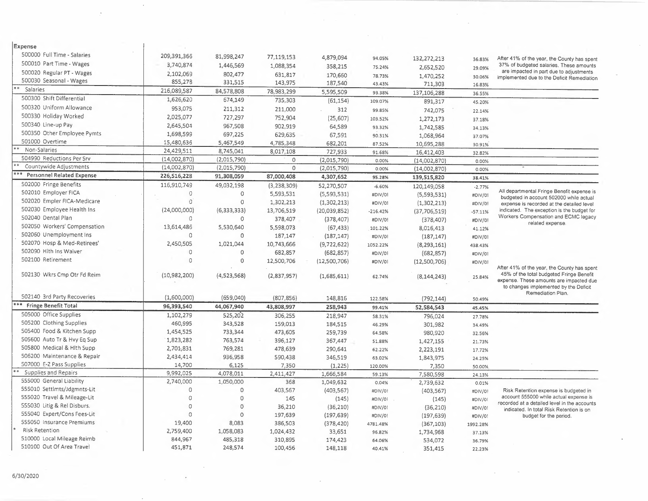| Expense                      |               |                        |                      |                            |            |                        |           |                                                                                                                              |  |
|------------------------------|---------------|------------------------|----------------------|----------------------------|------------|------------------------|-----------|------------------------------------------------------------------------------------------------------------------------------|--|
| 500000 Full Time - Salaries  | 209,391,365   | 81,998,247             | 77,119,153           | 4,879,094                  | 94.05%     | 132,272,213            |           | After 41% of the year, the County has spent                                                                                  |  |
| 500010 Part Time - Wages     | 3,740,874     | 1,446,569              | 1,088,354            | 358,215                    | 75.24%     |                        | 36.83%    | 37% of budgeted salaries. These amounts                                                                                      |  |
| 500020 Regular PT - Wages    | 2,102,069     | 802,477                | 631,817              | 170,660                    | 78.73%     | 2,652,520              | 29.09%    | are impacted in part due to adjustments                                                                                      |  |
| 500030 Seasonal - Wages      | 855,273       | 331,515                | 143,975              | 187,540                    | 43.43%     | 1,470,252<br>711,303   | 30.06%    | implemented due to the Deficit Remediation                                                                                   |  |
| Salaries                     | 216,089,587   | 84,578,808             | 78,983,299           | 5,595,509                  | 93.38%     |                        | 16.83%    |                                                                                                                              |  |
| 500300 Shift Differential    | 1,626,620     | 674,149                | 735,303              | (61, 154)                  | 109.07%    | 137,106,288<br>891,317 | 36.55%    |                                                                                                                              |  |
| 500320 Uniform Allowance     | 953,075       | 211,312                | 211,000              | 312                        |            |                        | 45.20%    |                                                                                                                              |  |
| 500330 Holiday Worked        | 2,025,077     | 727,297                | 752,904              | (25, 607)                  | 99.85%     | 742,075                | 22.14%    |                                                                                                                              |  |
| 500340 Line-up Pay           | 2,645,504     | 967,508                |                      |                            | 103.52%    | 1,272,173              | 37.18%    |                                                                                                                              |  |
| 500350 Other Employee Pymts  | 1,698,599     | 697,225                | 902,919<br>629,635   | 64,589                     | 93.32%     | 1,742,585              | 34.13%    |                                                                                                                              |  |
| 501000 Overtime              | 15,480,636    | 5,467,549              | 4,785,348            | 67,591                     | 90.31%     | 1,068,964              | 37.07%    |                                                                                                                              |  |
| Non-Salaries                 | 24,429,511    | 8,745,041              |                      | 682,201                    | 87.52%     | 10,695,288             | 30.91%    |                                                                                                                              |  |
| 504990 Reductions Per Srv    | (14,002,870)  | (2,015,790)            | 8,017,108<br>$\circ$ | 727,933                    | 91.68%     | 16,412,403             | 32.82%    |                                                                                                                              |  |
| Countywide Adjustments       | (14,002,870)  | (2,015,790)            | $\circ$              | (2,015,790)<br>(2,015,790) | 0.00%      | (14,002,870)           | 0.00%     |                                                                                                                              |  |
| Personnel Related Expense    | 226,516,228   | 91,308,059             | 87,000,408           | 4,307,652                  | 0.00%      | (14,002,870)           | 0.00%     |                                                                                                                              |  |
| 502000 Fringe Benefits       | 116,910,749   |                        |                      |                            | 95.28%     | 139,515,820            | 38.41%    |                                                                                                                              |  |
| 502010 Employer FICA         | $\circ$       | 49,032,198<br>$\Omega$ | (3, 238, 309)        | 52,270,507                 | $-6.60%$   | 120,149,058            | $-2.77%$  | All departmental Fringe Benefit expense is                                                                                   |  |
| 502020 Empler FICA-Medicare  | $\mathcal{O}$ |                        | 5,593,531            | (5,593,531)                | #DIV/01    | (5,593,531)            | #DIV/0!   | budgeted in account 502000 while actual                                                                                      |  |
| 502030 Employee Health Ins   |               | $\circ$                | 1,302,213            | (1,302,213)                | #DIV/01    | (1,302,213)            | #DIV/0!   | expense is recorded at the detailed level                                                                                    |  |
| 502040 Dental Plan           | (24,000,000)  | (6, 333, 333)          | 13,706,519           | (20,039,852)               | $-216.42%$ | (37,706,519)           | $-57.11%$ | indicated. The exception is the budget for<br>Workers Compensation and ECMC legacy                                           |  |
| 502050 Workers' Compensation | 0             | $\circ$                | 378,407              | (378, 407)                 | #DIV/0!    | (378, 407)             | #DIV/0!   | related expense.                                                                                                             |  |
|                              | 13,614,486    | 5,530,640              | 5,598,073            | (67, 433)                  | 101.22%    | 8,016,413              | 41.12%    |                                                                                                                              |  |
| 502060 Unemployment Ins      | 0             | 0                      | 187,147              | (187, 147)                 | #DIV/01    | (187, 147)             | #DIV/01   |                                                                                                                              |  |
| 502070 Hosp & Med-Retirees'  | 2,450,505     | 1,021,044              | 10,743,666           | (9,722,622)                | 1052.22%   | (8, 293, 161)          | 438.43%   |                                                                                                                              |  |
| 502090 Hith Ins Waiver       | $\circ$       | $\Omega$               | 682,857              | (682, 857)                 | #DIV/01    | (682, 857)             | #DIV/01   |                                                                                                                              |  |
| 502100 Retirement            | $\Omega$      | $\Omega$               | 12,500,706           | (12,500,706)               | #DIV/01    | (12,500,706)           | #DIV/01   | After 41% of the year, the County has spent                                                                                  |  |
| 502130 Wkrs Cmp Otr Fd Reim  | (10,982,200)  | (4,523,568)            | (2,837,957)          | (1,685,611)                | 62.74%     | (8, 144, 243)          | 25.84%    | 45% of the total budgeted Fringe Benefit<br>expense. These amounts are impacted due<br>to changes implemented by the Deficit |  |
| 502140 3rd Party Recoveries  | (1,600,000)   | (659,040)              | (807, 856)           | 148,816                    | 122.58%    | (792, 144)             | 50.49%    | Remediation Plan.                                                                                                            |  |
| *** Fringe Benefit Total     | 96,393,540    | 44,067,940             | 43,808,997           | 258,943                    | 99.41%     | 52,584,543             | 45.45%    |                                                                                                                              |  |
| 505000 Office Supplies       | 1,102,279     | 525,202                | 306,255              | 218,947                    | 58.31%     | 796,024                | 27.78%    |                                                                                                                              |  |
| 505200 Clothing Supplies     | 460,995       | 343,528                | 159,013              | 184,515                    | 46.29%     | 301,982                | 34.49%    |                                                                                                                              |  |
| 505400 Food & Kitchen Supp   | 1,454,525     | 733,344                | 473,605              | 259,739                    | 64.58%     | 980,920                | 32.56%    |                                                                                                                              |  |
| 505600 Auto Tr & Hvy Eq Sup  | 1,823,282     | 763,574                | 396,127              | 367,447                    | 51.88%     | 1,427,155              | 21.73%    |                                                                                                                              |  |
| 505800 Medical & Hith Supp   | 2,701,831     | 769,281                | 478,639              | 290,641                    | 62.22%     | 2,223,191              | 17.72%    |                                                                                                                              |  |
| 506200 Maintenance & Repair  | 2,434,414     | 936,958                | 590,438              | 346,519                    | 63.02%     | 1,843,975              | 24.25%    |                                                                                                                              |  |
| 507000 E-Z Pass Supplies     | 14,700        | 6,125                  | 7,350                | (1, 225)                   | 120.00%    | 7,350                  | 50.00%    |                                                                                                                              |  |
| Supplies and Repairs         | 9,992,025     | 4,078,011              | 2,411,427            | 1,666,584                  | 59.13%     | 7,580,598              | 24.13%    |                                                                                                                              |  |
| 555000 General Liability     | 2,740,000     | 1,050,000              | 368                  | 1,049,632                  | 0.04%      | 2,739,632              | 0.01%     |                                                                                                                              |  |
| 555010 Settlmts/Jdgmnts-Lit  | 0             | $\mathbf 0$            | 403,567              | (403, 567)                 | #DIV/0!    | (403, 567)             | #DIV/0!   | Risk Retention expense is budgeted in                                                                                        |  |
| 555020 Travel & Mileage-Lit  | $\Omega$      | $\Omega$               | 145                  | (145)                      | #DIV/01    | (145)                  | #DIV/01   | account 555000 while actual expense is                                                                                       |  |
| 555030 Litig & Rel Disburs.  | $\Omega$      | $\Omega$               | 36,210               | (36, 210)                  | #DIV/01    | (36, 210)              | #DIV/01   | recorded at a detailed level in the accounts<br>indicated. In total Risk Retention is on                                     |  |
| 555040 Expert/Cons Fees-Lit  | $\Omega$      | $\Omega$               | 197,639              | (197, 639)                 | #DIV/0!    | (197, 639)             | #DIV/0!   | budget for the period.                                                                                                       |  |
| 555050 Insurance Premiums    | 19,400        | 8,083                  | 386,503              | (378, 420)                 | 4781.48%   | (367, 103)             | 1992.28%  |                                                                                                                              |  |
| <b>Risk Retention</b>        | 2,759,400     | 1,058,083              | 1,024,432            | 33,651                     | 96.82%     | 1,734,968              | 37.13%    |                                                                                                                              |  |
| 510000 Local Mileage Reimb   | 844,967       | 485,318                | 310,895              | 174,423                    | 64.06%     | 534,072                | 36.79%    |                                                                                                                              |  |
| 510100 Out Of Area Travel    | 451,871       | 248,574                | 100,456              | 148,118                    | 40.41%     | 351,415                | 22.23%    |                                                                                                                              |  |

 $\sim$ 

 $\sim$ 

 $\sim$   $\sim$ 

 $\overline{\phantom{a}}$ 

 $\sim$ 

 $\mathbb{R}^2$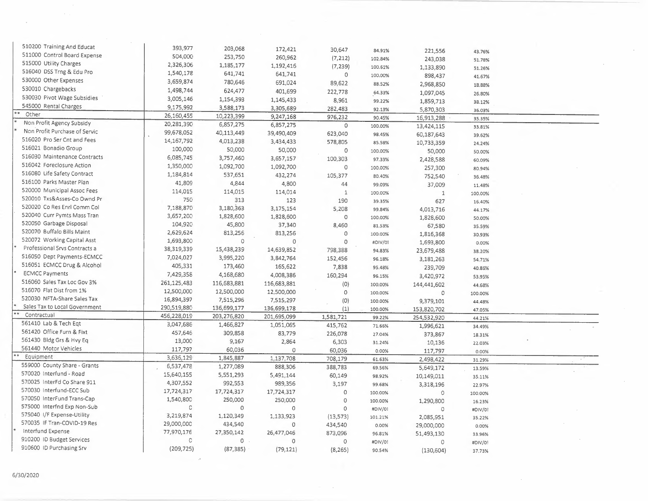| 510200 Training And Educat    | 393,977      | 203,068     | 172,421                   | 30,647                     | 84.91%  | 221,556      | 43.76%  |  |
|-------------------------------|--------------|-------------|---------------------------|----------------------------|---------|--------------|---------|--|
| 511000 Control Board Expense  | 504,000      | 253,750     | 260,962                   | (7, 212)                   | 102.84% | 243,038      | 51.78%  |  |
| 515000 Utility Charges        | 2,326,306    | 1,185,177   | 1,192,416                 | (7, 239)                   | 100.61% | 1,133,890    | 51.26%  |  |
| 516040 DSS Trng & Edu Pro     | 1,540,178    | 641,741     | 641,741                   | $\circ$                    | 100.00% | 898,437      | 41.67%  |  |
| 530000 Other Expenses         | 3,659,874    | 780,646     | 691,024                   | 89,622                     | 88.52%  | 2,968,850    | 18.88%  |  |
| 530010 Chargebacks            | 1,498,744    | 624,477     | 401,699                   | 222,778                    | 64.33%  | 1,097,045    | 26.80%  |  |
| 530030 Pivot Wage Subsidies   | 3,005,146    | 1,154,393   | 1,145,433                 | 8,961                      | 99.22%  | 1,859,713    | 38.12%  |  |
| 545000 Rental Charges         | 9,175,992    | 3,588,173   | 3,305,689                 | 282,483                    | 92.13%  | 5,870,303    | 36.03%  |  |
| Other                         | 26,160,455   | 10,223,399  | 9,247,168                 | 976,232                    | 90.45%  | 16,913,288   | 35.35%  |  |
| Non Profit Agency Subsidy     | 20,281,390   | 6,857,275   | 6,857,275                 | $\circ$                    | 100.00% | 13,424,115   | 33.81%  |  |
| Non Profit Purchase of Servic | 99,678,052   | 40,113,449  | 39,490,409                | 623,040                    | 98.45%  | 60,187,643   | 39.62%  |  |
| 516020 Pro Ser Cnt and Fees   | 14, 167, 792 | 4,013,238   | 3,434,433                 | 578,805                    | 85.58%  | 10,733,359   | 24.24%  |  |
| 516021 Bonadio Group          | 100,000      | 50,000      | 50,000                    | $\circ$                    | 100.00% | 50,000       | 50.00%  |  |
| 516030 Maintenance Contracts  | 6,085,745    | 3,757,460   | 3,657,157                 | 100,303                    | 97.33%  | 2,428,588    | 60.09%  |  |
| 516042 Foreclosure Action     | 1,350,000    | 1,092,700   | 1,092,700                 | $\circ$                    | 100.00% | 257,300      | 80.94%  |  |
| 516080 Life Safety Contract   | 1,184,814    | 537,651     | 432,274                   | 105,377                    | 80.40%  | 752,540      |         |  |
| 516100 Parks Master Plan      | 41,809       | 4,844       | 4,800                     | 44                         | 99.09%  | 37,009       | 36.48%  |  |
| 520000 Municipal Assoc Fees   | 114,015      | 114,015     | 114,014                   | $\mathbf{1}$               | 100.00% | $\mathbf{1}$ | 11.48%  |  |
| 520010 Txs&Asses-Co Ownd Pr   | 750          | 313         | 123                       | 190                        | 39.35%  | 627          | 100.00% |  |
| 520020 Co Res Enrl Comm Col   | 7,188,870    | 3,180,363   | 3,175,154                 | 5,208                      | 99.84%  | 4,013,716    | 16.40%  |  |
| 520040 Curr Pymts Mass Tran   | 3,657,200    | 1,828,600   | 1,828,600                 | $\circ$                    | 100.00% | 1,828,600    | 44.17%  |  |
| 520050 Garbage Disposal       | 104,920      | 45,800      | 37,340                    | 8,460                      | 81.53%  | 67,580       | 50.00%  |  |
| 520070 Buffalo Bills Maint    | 2,629,624    | 813,256     | 813,256                   | 0                          | 100.00% | 1,816,368    | 35.59%  |  |
| 520072 Working Capital Asst   | 1,693,800    | $\mathbf 0$ | $\circ$                   | $\Omega$                   | #DIV/01 | 1,693,800    | 30.93%  |  |
| Professional Srvs Contracts a | 38,319,339   | 15,438,239  | 14,639,852                | 798,388                    | 94.83%  | 23,679,488   | 0.00%   |  |
| S16050 Dept Payments-ECMCC    | 7,024,027    | 3,995,220   | 3,842,764                 | 152,456                    | 96.18%  |              | 38.20%  |  |
| 516051 ECMCC Drug & Alcohol   | 405,331      | 173,460     | 165,622                   | 7,838                      | 95.48%  | 3,181,263    | 54.71%  |  |
| <b>ECMCC Payments</b>         | 7,429,358    | 4,168,680   | 4,008,386                 | 160,294                    |         | 239,709      | 40.86%  |  |
| 516060 Sales Tax Loc Gov 3%   | 261,125,483  | 116,683,881 |                           |                            | 96.15%  | 3,420,972    | 53.95%  |  |
| 516070 Flat Dist from 1%      | 12,500,000   | 12,500,000  | 116,683,881<br>12,500,000 | (0)<br>$\circ$             | 100.00% | 144,441,602  | 44.68%  |  |
| 520030 NFTA-Share Sales Tax   | 16,894,397   | 7,515,296   | 7,515,297                 |                            | 100.00% | $\circ$      | 100.00% |  |
| Sales Tax to Local Government | 290,519,88C  | 136,699,177 | 136,699,178               | $\langle 0 \rangle$<br>(1) | 100.00% | 9,379,101    | 44.48%  |  |
| Contractual                   | 456,228,019  | 203,276,820 | 201,695,099               | 1,581,721                  | 100.00% | 153,820,702  | 47.05%  |  |
| 561410 Lab & Tech Eqt         | 3,047,686    | 1,466,827   | 1,051,065                 | 415,762                    | 99.22%  | 254,532,920  | 44.21%  |  |
| 561420 Office Furn & Fixt     | 457,646      | 309,858     | 83,779                    | 226,078                    | 71.66%  | 1,996,621    | 34.49%  |  |
| 561430 Bldg Grs & Hvy Eq      | 13,000       | 9,167       | 2,864                     | 6,303                      | 27.04%  | 373,867      | 18.31%  |  |
| 561440 Motor Vehicles         | 117,797      | 60,036      | 0                         | 60,036                     | 31.24%  | 10,136       | 22.03%  |  |
| Equipment                     | 3,636,129    | 1,845,887   | 1,137,708                 | 708,179                    | 0.00%   | 117,797      | 0.00%   |  |
| 559000 County Share - Grants  | 6,537,478    | 1,277,089   | 888,306                   | 388,783                    | 61.63%  | 2,498,422    | 31.29%  |  |
| 570020 Interfund - Road       | 15,640,155   | 5,551,293   | 5,491,144                 | 60,149                     | 69.56%  | 5,649,172    | 13.59%  |  |
| 57.0025 InterFd Co Share 911  | 4,307,552    | 992,553     | 989,356                   | 3,197                      | 98.92%  | 10,149,011   | 35.11%  |  |
| 570030 Interfund-ECC Sub      | 17,724,317   | 17,724,317  | 17,724,317                | $\circ$                    | 99.68%  | 3,318,196    | 22.97%  |  |
| 570050 InterFund Trans-Cap    | 1,540,800    | 250,000     | 250,000                   | 0                          | 100.00% | $\circ$      | 100.00% |  |
| 575000 Interfnd Exp Non-Sub   | C            | $\circ$     | 0                         | $\circ$                    | 100.00% | 1,290,800    | 16.23%  |  |
| 575040 I/F Expense-Utility    | 3,219,874    | 1,120,349   | 1,133,923                 |                            | #DIV/01 | $\circ$      | #DIV/01 |  |
| 570035 IF Tran-COVID-19 Res   | 29,000,00C   | 434,540     | $\circ$                   | (13,573)                   | 101.21% | 2,085,951    | 35.22%  |  |
| Interfund Expense             | 77,970,176   | 27,350,142  | 26,477,046                | 434,540<br>873,096         | 0.00%   | 29,000,000   | 0.00%   |  |
| 910200 ID Budget Services     | C            | $\circ$     | $\Omega$                  | $\circ$                    | 96.81%  | 51,493,130   | 33.96%  |  |
| 910600 ID Purchasing Srv      | (209, 725)   |             |                           |                            | #DIV/0! | 0            | #DIV/0! |  |
|                               |              | (87, 385)   | (79, 121)                 | (8, 265)                   | 90.54%  | (130, 604)   | 37.73%  |  |
|                               |              |             |                           |                            |         |              |         |  |

 $\mathcal{O}(\mathcal{O}_\mathcal{O})$ 

 $\sim$ 

 $\sim$ 

 $\sim$ 

 $\sim$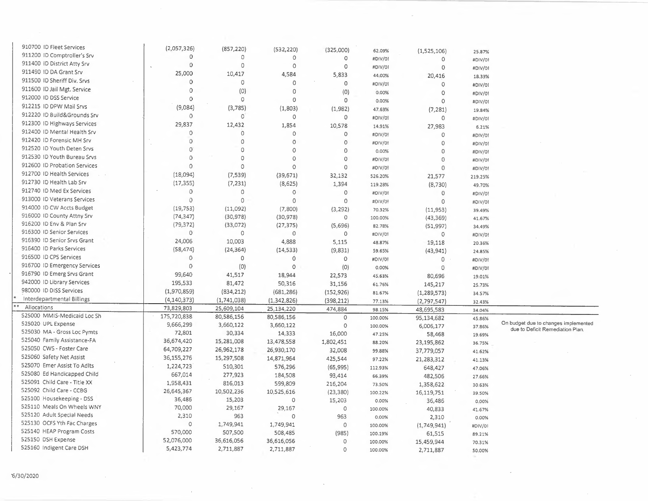| 910700 ID Fleet Services     | (2,057,326)         | (857, 220)  | (532, 220)   | (325,000)   | 62.09%  | (1,525,106)   | 25.87%  |                                      |
|------------------------------|---------------------|-------------|--------------|-------------|---------|---------------|---------|--------------------------------------|
| 911200 ID Comptroller's Srv  | $\Omega$            | $\circ$     | $\Omega$     | 0           | #DIV/0! | $\circ$       | #DIV/01 |                                      |
| 911400 ID District Atty Srv  | $\Omega$            | $\circ$     | $\Omega$     | $\circ$     | #DIV/01 | $\mathbf 0$   | #DIV/01 |                                      |
| 911490 ID DA Grant Srv       | 25,000              | 10,417      | 4,584        | 5,833       | 44.00%  | 20,416        |         |                                      |
| 911500 ID Sheriff Div. Srvs  | $\circ$             | $\circ$     | $\Omega$     | $\mathbf 0$ | #DIV/01 | $\circ$       | 18.33%  |                                      |
| 911600 ID Jail Mgt. Service  | $\circ$             | (0)         | $\circ$      | (0)         |         |               | #DIV/01 |                                      |
| 912000 ID DSS Service        | $\circ$             | $\circ$     | $\circ$      | $\circ$     | 0.00%   | $\circ$       | #DIV/01 |                                      |
| 912215 ID DPW Mail Srvs      | (9,084)             | (3,785)     |              |             | 0.00%   | $\circ$       | #DIV/01 |                                      |
| 912220 ID Build&Grounds Srv  | $\circ$             | $\circ$     | (1,803)      | (1,982)     | 47.63%  | (7, 281)      | 19.84%  |                                      |
| 912300 ID Highways Services  |                     |             | $\Omega$     | $\circ$     | #DIV/01 | $\circ$       | #DIV/0! |                                      |
| 912400 ID Mental Health Srv  | 29,837              | 12,432      | 1,854        | 10,578      | 14.91%  | 27,983        | 6.21%   |                                      |
| 912420 ID Forensic MH Srv    | $\circ$             | $\mathbf 0$ | $\mathbf{0}$ | $\circ$     | #DIV/0! | $\Omega$      | #DIV/0! |                                      |
|                              | $\circ$             | $\circ$     | $\circ$      | $\circ$     | #DIV/0! | $\Omega$      | #DIV/0! |                                      |
| 912520 ID Youth Deten Srvs   | $\sigma$            | $\mathbf 0$ | $\circ$      | 0           | 0.00%   | $\Omega$      | #DIV/0! |                                      |
| 912530 ID Youth Bureau Srvs  | $\circ$             | $\mathbf 0$ | $\circ$      | $\mathbb O$ | #DIV/0! | $\circ$       | #DIV/0! |                                      |
| 912600 ID Probation Services | $\circ$             | $\circ$     | $\Omega$     | $\circ$     | #DIV/0! | $\mathbf 0$   | #DIV/0! |                                      |
| 912700 ID Health Services    | (18,094)            | (7,539)     | (39, 671)    | 32,132      | 526.20% | 21,577        | 219.25% |                                      |
| 912730 ID Health Lab Srv     | (17, 355)           | (7, 231)    | (8,625)      | 1,394       | 119.28% | (8,730)       | 49.70%  |                                      |
| 912740 ID Med Ex Services    | 0                   | 0           | $\circ$      | $\circ$     | #DIV/0! | $\mathbf 0$   | #DIV/0! |                                      |
| 913000 ID Veterans Services  | $\mathcal{O}$       | $\circ$     | $\circ$      | $\mathbf 0$ | #DIV/0! | $\Omega$      | #DIV/0! |                                      |
| 914000 ID CW Accts Budget    | (19, 753)           | (11,092)    | (7,800)      | (3, 292)    | 70.32%  | (11,953)      | 39.49%  |                                      |
| 916000 ID County Attny Srv   | (74, 347)           | (30, 978)   | (30, 978)    | 0           | 100.00% | (43, 369)     | 41.67%  |                                      |
| 916200 ID Env & Plan Srv     | (79, 372)           | (33,072)    | (27, 375)    | (5,696)     | 82.78%  | (51, 997)     | 34.49%  |                                      |
| 916300 ID Senior Services    | $\circ$             | $\circ$     | $\mathbf 0$  | 0           | #DIV/0! | $\circ$       | #DIV/0! |                                      |
| 916390 ID Senior Srvs Grant  | 24,006              | 10,003      | 4,888        | 5,115       | 48.87%  | 19,118        | 20.36%  |                                      |
| 916400 ID Parks Services     | (58, 474)           | (24, 364)   | (14, 533)    | (9,831)     | 59.65%  | (43, 941)     | 24.85%  |                                      |
| 916500 ID CPS Services       | 0                   | $\mathbb O$ | $\circ$      | 0           | #DIV/0! | 0             | #DIV/0! |                                      |
| 916700 ID Emergency Services | 0                   | (0)         | $\circ$      | (0)         | 0.00%   | $\Omega$      |         |                                      |
| 916790 ID Emerg Srvs Grant   | 99,640              | 41,517      | 18,944       | 22,573      | 45.63%  | 80,696        | #DIV/0! |                                      |
| 942000 ID Library Services   | 195,533             | 81,472      | 50,316       | 31,156      | 61.76%  |               | 19.01%  |                                      |
| 980000 ID DISS Services      | (1,970,859)         | (834, 212)  | (681, 286)   |             |         | 145,217       | 25.73%  |                                      |
| Interdepartmental Billings   | (4, 140, 373)       | (1,741,038) |              | (152, 926)  | 81.67%  | (1, 289, 573) | 34.57%  |                                      |
| Allocations                  | 73,829,803          | 25,609,104  | (1,342,826)  | (398, 212)  | 77.13%  | (2,797,547)   | 32.43%  |                                      |
| 525000 MMIS-Medicaid Loc Sh  | 175,720,838         | 80,586,156  | 25,134,220   | 474,884     | 98.15%  | 48,695,583    | 34.04%  |                                      |
| 525020 UPL Expense           |                     |             | 80,586,156   | $\circ$     | 100.00% | 95,134,682    | 45.86%  | On budget due to changes implemented |
| S25030 MA - Gross Loc Pymts  | 9,666,299<br>72,801 | 3,660,122   | 3,660,122    | 0           | 100.00% | 6,006,177     | 37.86%  | due to Deficit Remediation Plan.     |
| 525040 Family Assistance-FA  | 36,674,420          | 30,334      | 14,333       | 16,000      | 47.25%  | 58,468        | 19.69%  |                                      |
| 525050 CWS - Foster Care     |                     | 15,281,008  | 13,478,558   | 1,802,451   | 88.20%  | 23,195,862    | 36.75%  |                                      |
| 525060 Safety Net Assist     | 64,709,227          | 26,962,178  | 26,930,170   | 32,008      | 99.88%  | 37,779,057    | 41.62%  |                                      |
| 525070 Emer Assist To Adlts  | 36,155,276          | 15,297,508  | 14,871,964   | 425,544     | 97.22%  | 21,283,312    | 41.13%  |                                      |
|                              | 1,224,723           | 510,301     | 576,296      | (65, 995)   | 112.93% | 648,427       | 47.06%  |                                      |
| 525080 Ed Handicapped Child  | 667,014             | 277,923     | 184,508      | 93,414      | 66.39%  | 482,506       | 27.66%  |                                      |
| 525091 Child Care - Title XX | 1,958,431           | 816,013     | 599,809      | 216,204     | 73.50%  | 1,358,622     | 30.63%  |                                      |
| 525092 Child Care - CCBG     | 26,645,367          | 10,502,236  | 10,525,616   | (23, 380)   | 100.22% | 16,119,751    | 39.50%  |                                      |
| 525100 Housekeeping - DSS    | 36,486              | 15,203      | 0            | 15,203      | 0.00%   | 36,486        | 0.00%   |                                      |
| 525110 Meals On Wheels WNY   | 70,000              | 29,167      | 29,167       | $\circ$     | 100.00% | 40,833        | 41.67%  |                                      |
| 525120 Adult Special Needs   | 2,310               | 963         | 0            | 963         | 0.00%   | 2,310         | 0.00%   |                                      |
| 525130 OCFS Yth Fac Charges  | $\circ$             | 1,749,941   | 1,749,941    | $\circ$     | 100.00% | (1,749,941)   | #DIV/0! |                                      |
| 525140 HEAP Program Costs    | 570,000             | 507,500     | 508,485      | (985)       | 100.19% | 61,515        | 89.21%  |                                      |
| 525150 DSH Expense           | 52,076,000          | 36,616,056  | 36,616,056   | $\circ$     | 100.00% | 15,459,944    | 70.31%  |                                      |
| 525160 Indigent Care DSH     | 5,423,774           | 2,711,887   | 2,711,887    | $\circ$     | 100.00% | 2,711,887     | 50.00%  |                                      |

 $\sim 10^{-11}$ 

 $\sigma$ 

 $\sim$ 

 $\mathcal{L}$ 

 $\sim$